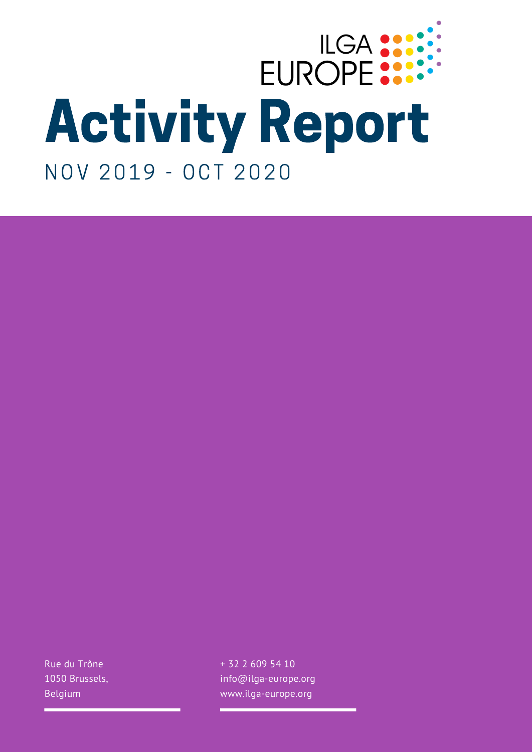## EUROPE .... NOV 2019 - OCT 2020

Rue du Trône 1050 Brussels, Belgium

+ 32 2 609 54 10 info@ilga-europe.org www.ilga-europe.org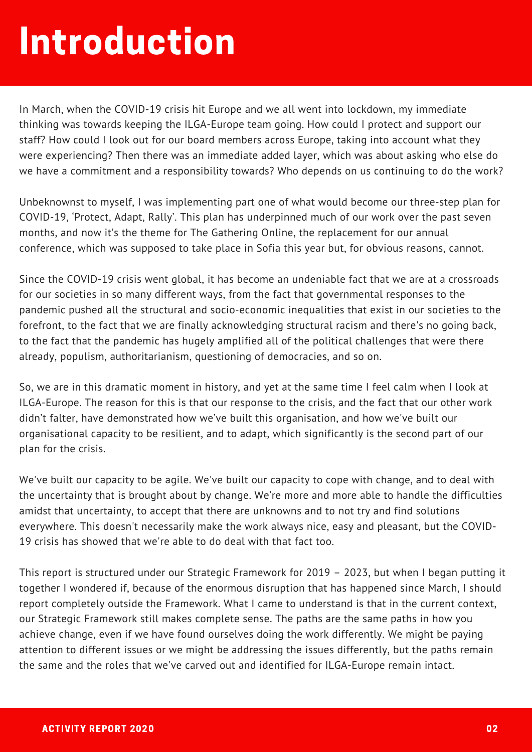### Introduction

In March, when the COVID-19 crisis hit Europe and we all went into lockdown, my immediate thinking was towards keeping the ILGA-Europe team going. How could I protect and support our staff? How could I look out for our board members across Europe, taking into account what they were experiencing? Then there was an immediate added layer, which was about asking who else do we have a commitment and a responsibility towards? Who depends on us continuing to do the work?

Unbeknownst to myself, I was implementing part one of what would become our three-step plan for COVID-19, 'Protect, Adapt, Rally'. This plan has underpinned much of our work over the past seven months, and now it's the theme for The Gathering Online, the replacement for our annual conference, which was supposed to take place in Sofia this year but, for obvious reasons, cannot.

Since the COVID-19 crisis went global, it has become an undeniable fact that we are at a crossroads for our societies in so many different ways, from the fact that governmental responses to the pandemic pushed all the structural and socio-economic inequalities that exist in our societies to the forefront, to the fact that we are finally acknowledging structural racism and there's no going back, to the fact that the pandemic has hugely amplified all of the political challenges that were there already, populism, authoritarianism, questioning of democracies, and so on.

So, we are in this dramatic moment in history, and yet at the same time I feel calm when I look at ILGA-Europe. The reason for this is that our response to the crisis, and the fact that our other work didn't falter, have demonstrated how we've built this organisation, and how we've built our organisational capacity to be resilient, and to adapt, which significantly is the second part of our plan for the crisis.

We've built our capacity to be agile. We've built our capacity to cope with change, and to deal with the uncertainty that is brought about by change. We're more and more able to handle the difficulties amidst that uncertainty, to accept that there are unknowns and to not try and find solutions everywhere. This doesn't necessarily make the work always nice, easy and pleasant, but the COVID-19 crisis has showed that we're able to do deal with that fact too.

This report is structured under our Strategic Framework for 2019 – 2023, but when I began putting it together I wondered if, because of the enormous disruption that has happened since March, I should report completely outside the Framework. What I came to understand is that in the current context, our Strategic Framework still makes complete sense. The paths are the same paths in how you achieve change, even if we have found ourselves doing the work differently. We might be paying attention to different issues or we might be addressing the issues differently, but the paths remain the same and the roles that we've carved out and identified for ILGA-Europe remain intact.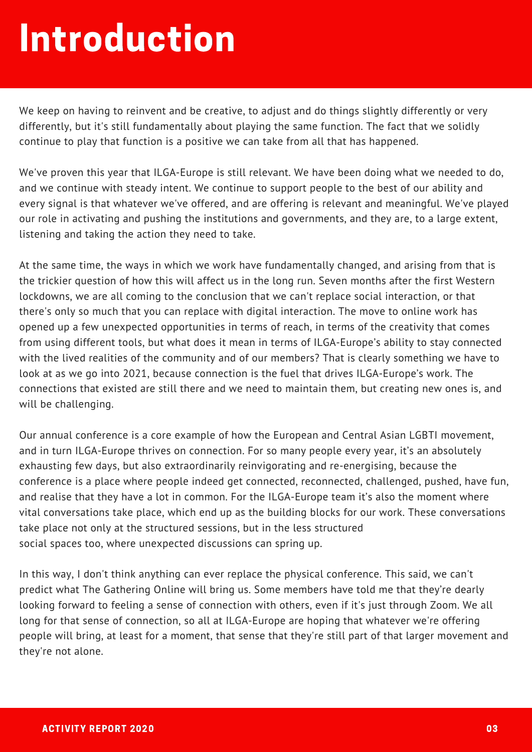### Introduction

We keep on having to reinvent and be creative, to adjust and do things slightly differently or very differently, but it's still fundamentally about playing the same function. The fact that we solidly continue to play that function is a positive we can take from all that has happened.

We've proven this year that ILGA-Europe is still relevant. We have been doing what we needed to do, and we continue with steady intent. We continue to support people to the best of our ability and every signal is that whatever we've offered, and are offering is relevant and meaningful. We've played our role in activating and pushing the institutions and governments, and they are, to a large extent, listening and taking the action they need to take.

At the same time, the ways in which we work have fundamentally changed, and arising from that is the trickier question of how this will affect us in the long run. Seven months after the first Western lockdowns, we are all coming to the conclusion that we can't replace social interaction, or that there's only so much that you can replace with digital interaction. The move to online work has opened up a few unexpected opportunities in terms of reach, in terms of the creativity that comes from using different tools, but what does it mean in terms of ILGA-Europe's ability to stay connected with the lived realities of the community and of our members? That is clearly something we have to look at as we go into 2021, because connection is the fuel that drives ILGA-Europe's work. The connections that existed are still there and we need to maintain them, but creating new ones is, and will be challenging.

Our annual conference is a core example of how the European and Central Asian LGBTI movement, and in turn ILGA-Europe thrives on connection. For so many people every year, it's an absolutely exhausting few days, but also extraordinarily reinvigorating and re-energising, because the conference is a place where people indeed get connected, reconnected, challenged, pushed, have fun, and realise that they have a lot in common. For the ILGA-Europe team it's also the moment where vital conversations take place, which end up as the building blocks for our work. These conversations take place not only at the structured sessions, but in the less structured social spaces too, where unexpected discussions can spring up.

In this way, I don't think anything can ever replace the physical conference. This said, we can't predict what The Gathering Online will bring us. Some members have told me that they're dearly looking forward to feeling a sense of connection with others, even if it's just through Zoom. We all long for that sense of connection, so all at ILGA-Europe are hoping that whatever we're offering people will bring, at least for a moment, that sense that they're still part of that larger movement and they're not alone.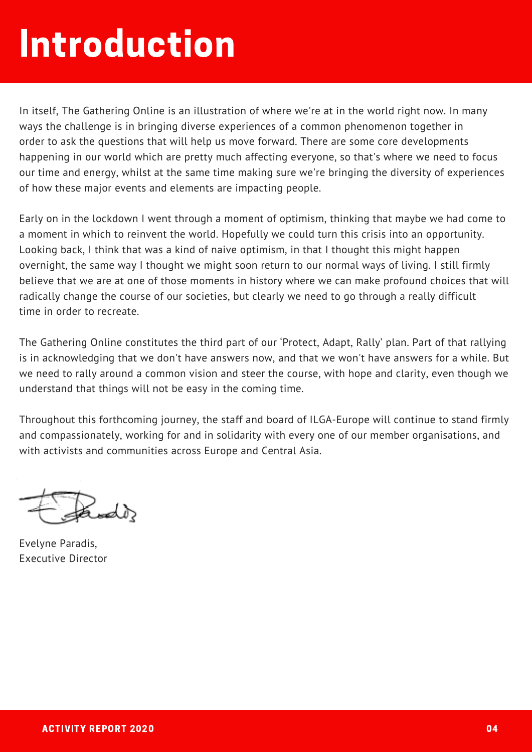### Introduction

In itself, The Gathering Online is an illustration of where we're at in the world right now. In many ways the challenge is in bringing diverse experiences of a common phenomenon together in order to ask the questions that will help us move forward. There are some core developments happening in our world which are pretty much affecting everyone, so that's where we need to focus our time and energy, whilst at the same time making sure we're bringing the diversity of experiences of how these major events and elements are impacting people.

Early on in the lockdown I went through a moment of optimism, thinking that maybe we had come to a moment in which to reinvent the world. Hopefully we could turn this crisis into an opportunity. Looking back, I think that was a kind of naive optimism, in that I thought this might happen overnight, the same way I thought we might soon return to our normal ways of living. I still firmly believe that we are at one of those moments in history where we can make profound choices that will radically change the course of our societies, but clearly we need to go through a really difficult time in order to recreate.

The Gathering Online constitutes the third part of our 'Protect, Adapt, Rally' plan. Part of that rallying is in acknowledging that we don't have answers now, and that we won't have answers for a while. But we need to rally around a common vision and steer the course, with hope and clarity, even though we understand that things will not be easy in the coming time.

Throughout this forthcoming journey, the staff and board of ILGA-Europe will continue to stand firmly and compassionately, working for and in solidarity with every one of our member organisations, and with activists and communities across Europe and Central Asia.

دالمصد

Evelyne Paradis, Executive Director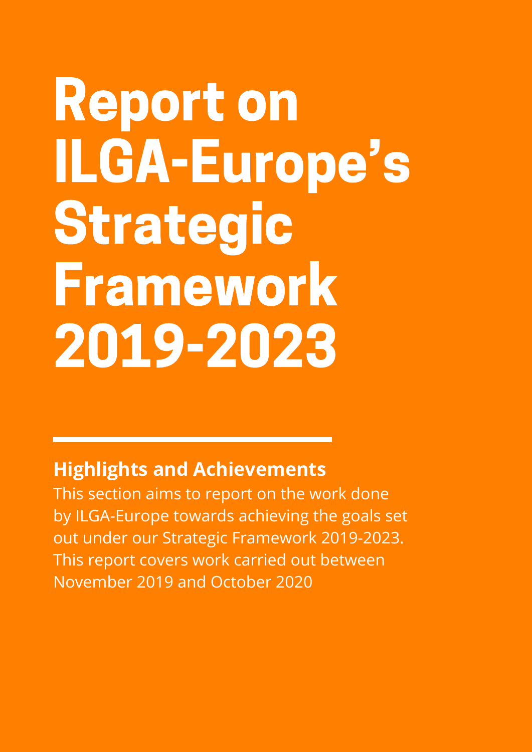### Report on ILGA-Europe's Strategic Framework 2019-2023

#### **Highlights and Achievements**

This section aims to report on the work done by ILGA-Europe towards achieving the goals set out under our Strategic Framework 2019-2023. This report covers work carried out between November 2019 and October 2020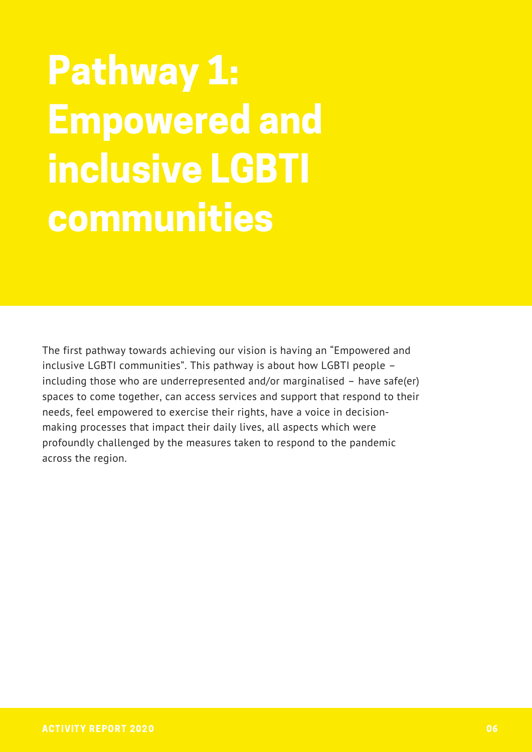### Pathway 1: Empowered and inclusive LGBTI communities

The first pathway towards achieving our vision is having an "Empowered and inclusive LGBTI communities". This pathway is about how LGBTI people – including those who are underrepresented and/or marginalised – have safe(er) spaces to come together, can access services and support that respond to their needs, feel empowered to exercise their rights, have a voice in decisionmaking processes that impact their daily lives, all aspects which were profoundly challenged by the measures taken to respond to the pandemic across the region.

Strong, resourced, s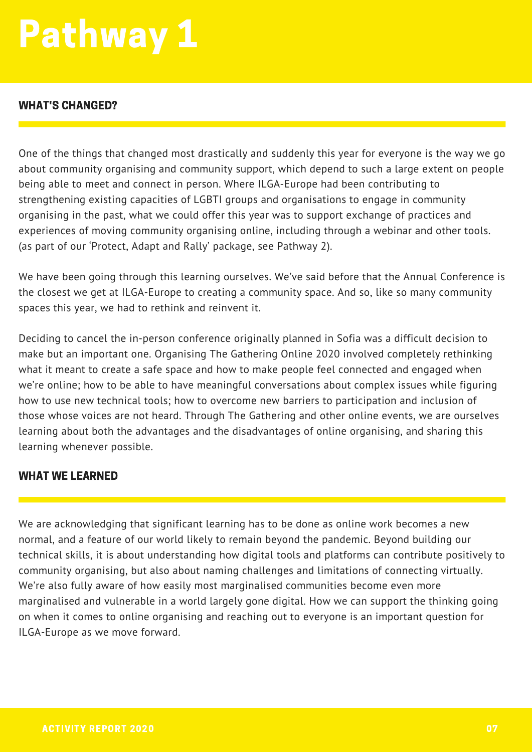#### WHAT'S CHANGED?

One of the things that changed most drastically and suddenly this year for everyone is the way we go about community organising and community support, which depend to such a large extent on people being able to meet and connect in person. Where ILGA-Europe had been contributing to strengthening existing capacities of LGBTI groups and organisations to engage in community organising in the past, what we could offer this year was to support exchange of practices and experiences of moving community organising online, including through a webinar and other tools. (as part of our 'Protect, Adapt and Rally' package, see Pathway 2).

We have been going through this learning ourselves. We've said before that the Annual Conference is the closest we get at ILGA-Europe to creating a community space. And so, like so many community spaces this year, we had to rethink and reinvent it.

Deciding to cancel the in-person conference originally planned in Sofia was a difficult decision to make but an important one. Organising The Gathering Online 2020 involved completely rethinking what it meant to create a safe space and how to make people feel connected and engaged when we're online; how to be able to have meaningful conversations about complex issues while figuring how to use new technical tools; how to overcome new barriers to participation and inclusion of those whose voices are not heard. Through The Gathering and other online events, we are ourselves learning about both the advantages and the disadvantages of online organising, and sharing this learning whenever possible.

#### WHAT WE LEARNED

We are acknowledging that significant learning has to be done as online work becomes a new normal, and a feature of our world likely to remain beyond the pandemic. Beyond building our technical skills, it is about understanding how digital tools and platforms can contribute positively to community organising, but also about naming challenges and limitations of connecting virtually. We're also fully aware of how easily most marginalised communities become even more marginalised and vulnerable in a world largely gone digital. How we can support the thinking going on when it comes to online organising and reaching out to everyone is an important question for ILGA-Europe as we move forward.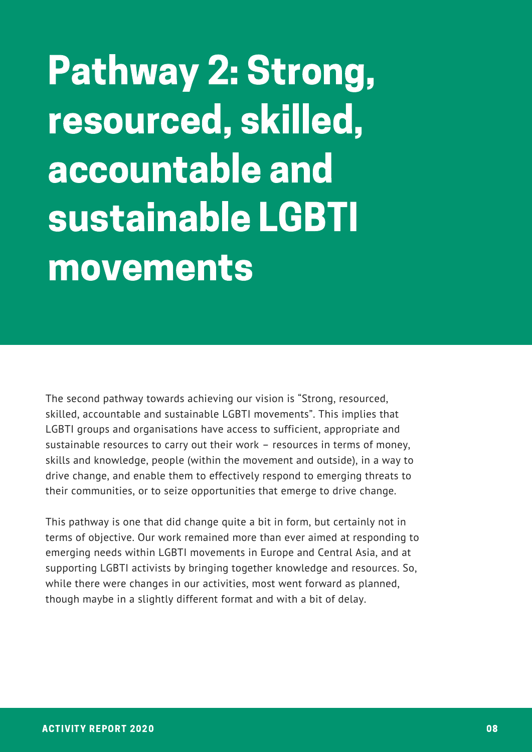Pathway 2: Strong, resourced, skilled, accountable and sustainable LGBTI movements

The second pathway towards achieving our vision is "Strong, resourced, skilled, accountable and sustainable LGBTI movements". This implies that LGBTI groups and organisations have access to sufficient, appropriate and sustainable resources to carry out their work – resources in terms of money, skills and knowledge, people (within the movement and outside), in a way to drive change, and enable them to effectively respond to emerging threats to their communities, or to seize opportunities that emerge to drive change.

This pathway is one that did change quite a bit in form, but certainly not in terms of objective. Our work remained more than ever aimed at responding to emerging needs within LGBTI movements in Europe and Central Asia, and at supporting LGBTI activists by bringing together knowledge and resources. So, while there were changes in our activities, most went forward as planned, though maybe in a slightly different format and with a bit of delay.

Strong, resourced, s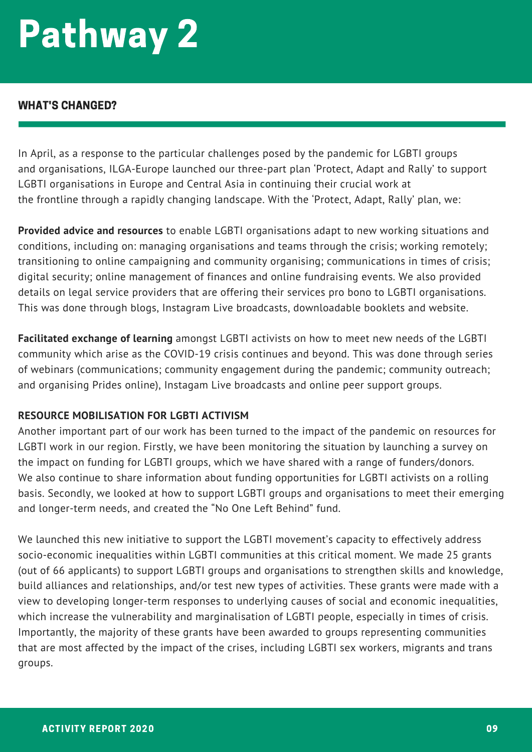#### WHAT'S CHANGED?

In April, as a response to the particular challenges posed by the pandemic for LGBTI groups and organisations, ILGA-Europe launched our three-part plan 'Protect, Adapt and Rally' to support LGBTI organisations in Europe and Central Asia in continuing their crucial work at the frontline through a rapidly changing landscape. With the 'Protect, Adapt, Rally' plan, we:

**Provided advice and resources** to enable LGBTI organisations adapt to new working situations and conditions, including on: managing organisations and teams through the crisis; working remotely; transitioning to online campaigning and community organising; communications in times of crisis; digital security; online management of finances and online fundraising events. We also provided details on legal service providers that are offering their services pro bono to LGBTI organisations. This was done through blogs, Instagram Live broadcasts, downloadable booklets and website.

**Facilitated exchange of learning** amongst LGBTI activists on how to meet new needs of the LGBTI community which arise as the COVID-19 crisis continues and beyond. This was done through series of webinars (communications; community engagement during the pandemic; community outreach; and organising Prides online), Instagam Live broadcasts and online peer support groups.

#### **RESOURCE MOBILISATION FOR LGBTI ACTIVISM**

Another important part of our work has been turned to the impact of the pandemic on resources for LGBTI work in our region. Firstly, we have been monitoring the situation by launching a survey on the impact on funding for LGBTI groups, which we have shared with a range of funders/donors. We also continue to share information about funding opportunities for LGBTI activists on a rolling basis. Secondly, we looked at how to support LGBTI groups and organisations to meet their emerging and longer-term needs, and created the "No One Left Behind" fund.

We launched this new initiative to support the LGBTI movement's capacity to effectively address socio-economic inequalities within LGBTI communities at this critical moment. We made 25 grants (out of 66 applicants) to support LGBTI groups and organisations to strengthen skills and knowledge, build alliances and relationships, and/or test new types of activities. These grants were made with a view to developing longer-term responses to underlying causes of social and economic inequalities, which increase the vulnerability and marginalisation of LGBTI people, especially in times of crisis. Importantly, the majority of these grants have been awarded to groups representing communities that are most affected by the impact of the crises, including LGBTI sex workers, migrants and trans groups.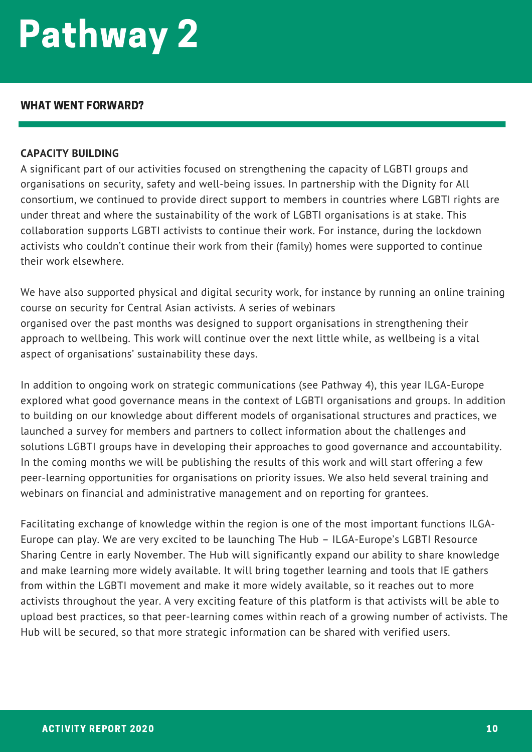#### WHAT WENT FORWARD?

#### **CAPACITY BUILDING**

A significant part of our activities focused on strengthening the capacity of LGBTI groups and organisations on security, safety and well-being issues. In partnership with the Dignity for All consortium, we continued to provide direct support to members in countries where LGBTI rights are under threat and where the sustainability of the work of LGBTI organisations is at stake. This collaboration supports LGBTI activists to continue their work. For instance, during the lockdown activists who couldn't continue their work from their (family) homes were supported to continue their work elsewhere.

We have also supported physical and digital security work, for instance by running an online training course on security for Central Asian activists. A series of webinars organised over the past months was designed to support organisations in strengthening their approach to wellbeing. This work will continue over the next little while, as wellbeing is a vital aspect of organisations' sustainability these days.

In addition to ongoing work on strategic communications (see Pathway 4), this year ILGA-Europe explored what good governance means in the context of LGBTI organisations and groups. In addition to building on our knowledge about different models of organisational structures and practices, we launched a survey for members and partners to collect information about the challenges and solutions LGBTI groups have in developing their approaches to good governance and accountability. In the coming months we will be publishing the results of this work and will start offering a few peer-learning opportunities for organisations on priority issues. We also held several training and webinars on financial and administrative management and on reporting for grantees.

Facilitating exchange of knowledge within the region is one of the most important functions ILGA-Europe can play. We are very excited to be launching The Hub – ILGA-Europe's LGBTI Resource Sharing Centre in early November. The Hub will significantly expand our ability to share knowledge and make learning more widely available. It will bring together learning and tools that IE gathers from within the LGBTI movement and make it more widely available, so it reaches out to more activists throughout the year. A very exciting feature of this platform is that activists will be able to upload best practices, so that peer-learning comes within reach of a growing number of activists. The Hub will be secured, so that more strategic information can be shared with verified users.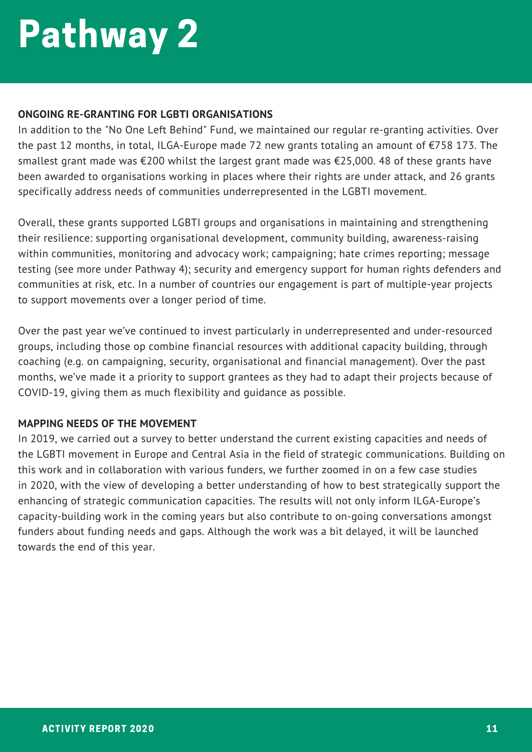#### **ONGOING RE-GRANTING FOR LGBTI ORGANISATIONS**

In addition to the "No One Left Behind" Fund, we maintained our regular re-granting activities. Over the past 12 months, in total, ILGA-Europe made 72 new grants totaling an amount of €758 173. The smallest grant made was €200 whilst the largest grant made was €25,000. 48 of these grants have been awarded to organisations working in places where their rights are under attack, and 26 grants specifically address needs of communities underrepresented in the LGBTI movement.

Overall, these grants supported LGBTI groups and organisations in maintaining and strengthening their resilience: supporting organisational development, community building, awareness-raising within communities, monitoring and advocacy work; campaigning; hate crimes reporting; message testing (see more under Pathway 4); security and emergency support for human rights defenders and communities at risk, etc. In a number of countries our engagement is part of multiple-year projects to support movements over a longer period of time.

Over the past year we've continued to invest particularly in underrepresented and under-resourced groups, including those op combine financial resources with additional capacity building, through coaching (e.g. on campaigning, security, organisational and financial management). Over the past months, we've made it a priority to support grantees as they had to adapt their projects because of COVID-19, giving them as much flexibility and guidance as possible.

#### **MAPPING NEEDS OF THE MOVEMENT**

In 2019, we carried out a survey to better understand the current existing capacities and needs of the LGBTI movement in Europe and Central Asia in the field of strategic communications. Building on this work and in collaboration with various funders, we further zoomed in on a few case studies in 2020, with the view of developing a better understanding of how to best strategically support the enhancing of strategic communication capacities. The results will not only inform ILGA-Europe's capacity-building work in the coming years but also contribute to on-going conversations amongst funders about funding needs and gaps. Although the work was a bit delayed, it will be launched towards the end of this year.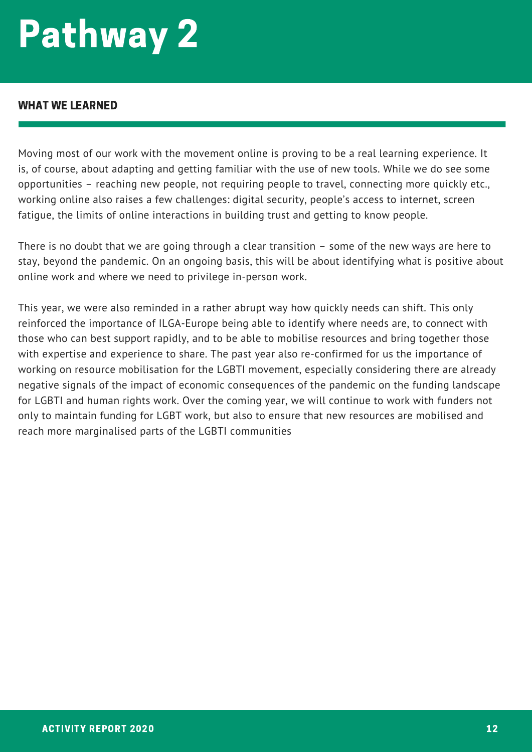#### WHAT WE LEARNED

Moving most of our work with the movement online is proving to be a real learning experience. It is, of course, about adapting and getting familiar with the use of new tools. While we do see some opportunities – reaching new people, not requiring people to travel, connecting more quickly etc., working online also raises a few challenges: digital security, people's access to internet, screen fatigue, the limits of online interactions in building trust and getting to know people.

There is no doubt that we are going through a clear transition – some of the new ways are here to stay, beyond the pandemic. On an ongoing basis, this will be about identifying what is positive about online work and where we need to privilege in-person work.

This year, we were also reminded in a rather abrupt way how quickly needs can shift. This only reinforced the importance of ILGA-Europe being able to identify where needs are, to connect with those who can best support rapidly, and to be able to mobilise resources and bring together those with expertise and experience to share. The past year also re-confirmed for us the importance of working on resource mobilisation for the LGBTI movement, especially considering there are already negative signals of the impact of economic consequences of the pandemic on the funding landscape for LGBTI and human rights work. Over the coming year, we will continue to work with funders not only to maintain funding for LGBT work, but also to ensure that new resources are mobilised and reach more marginalised parts of the LGBTI communities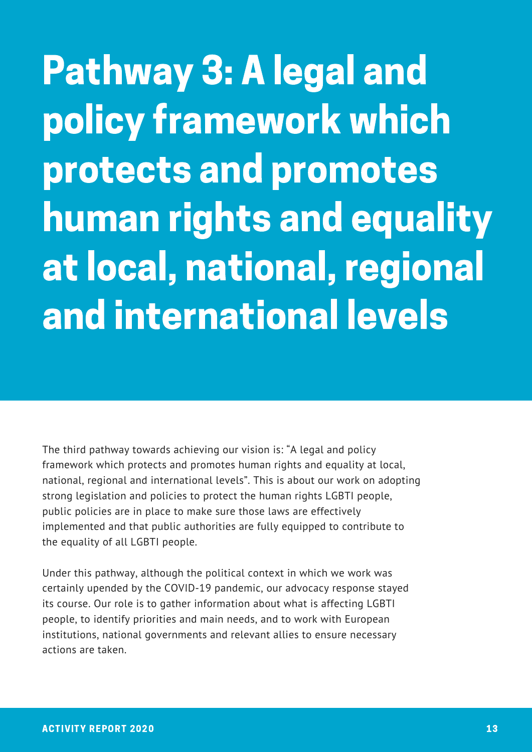Pathway 3: A legal and policy framework which protects and promotes human rights and equality at local, national, regional and international levels

The third pathway towards achieving our vision is: "A legal and policy framework which protects and promotes human rights and equality at local, national, regional and international levels". This is about our work on adopting strong legislation and policies to protect the human rights LGBTI people, public policies are in place to make sure those laws are effectively implemented and that public authorities are fully equipped to contribute to the equality of all LGBTI people.

Under this pathway, although the political context in which we work was certainly upended by the COVID-19 pandemic, our advocacy response stayed its course. Our role is to gather information about what is affecting LGBTI people, to identify priorities and main needs, and to work with European institutions, national governments and relevant allies to ensure necessary actions are taken.

Strong, resourced, s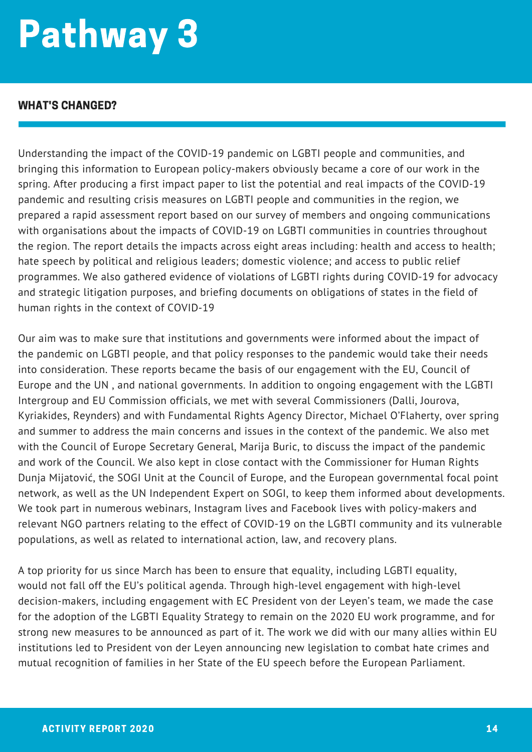#### WHAT'S CHANGED?

Understanding the impact of the COVID-19 pandemic on LGBTI people and communities, and bringing this information to European policy-makers obviously became a core of our work in the spring. After producing a first impact paper to list the potential and real impacts of the COVID-19 pandemic and resulting crisis measures on LGBTI people and communities in the region, we prepared a rapid assessment report based on our survey of members and ongoing communications with organisations about the impacts of COVID-19 on LGBTI communities in countries throughout the region. The report details the impacts across eight areas including: health and access to health; hate speech by political and religious leaders; domestic violence; and access to public relief programmes. We also gathered evidence of violations of LGBTI rights during COVID-19 for advocacy and strategic litigation purposes, and briefing documents on obligations of states in the field of human rights in the context of COVID-19

Our aim was to make sure that institutions and governments were informed about the impact of the pandemic on LGBTI people, and that policy responses to the pandemic would take their needs into consideration. These reports became the basis of our engagement with the EU, Council of Europe and the UN , and national governments. In addition to ongoing engagement with the LGBTI Intergroup and EU Commission officials, we met with several Commissioners (Dalli, Jourova, Kyriakides, Reynders) and with Fundamental Rights Agency Director, Michael O'Flaherty, over spring and summer to address the main concerns and issues in the context of the pandemic. We also met with the Council of Europe Secretary General, Marija Buric, to discuss the impact of the pandemic and work of the Council. We also kept in close contact with the Commissioner for Human Rights Dunja Mijatović, the SOGI Unit at the Council of Europe, and the European governmental focal point network, as well as the UN Independent Expert on SOGI, to keep them informed about developments. We took part in numerous webinars, Instagram lives and Facebook lives with policy-makers and relevant NGO partners relating to the effect of COVID-19 on the LGBTI community and its vulnerable populations, as well as related to international action, law, and recovery plans.

A top priority for us since March has been to ensure that equality, including LGBTI equality, would not fall off the EU's political agenda. Through high-level engagement with high-level decision-makers, including engagement with EC President von der Leyen's team, we made the case for the adoption of the LGBTI Equality Strategy to remain on the 2020 EU work programme, and for strong new measures to be announced as part of it. The work we did with our many allies within EU institutions led to President von der Leyen announcing new legislation to combat hate crimes and mutual recognition of families in her State of the EU speech before the European Parliament.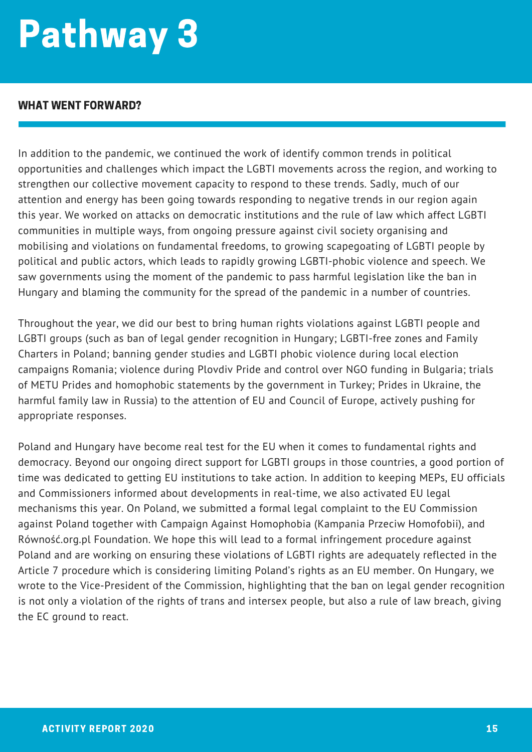#### WHAT WENT FORWARD?

In addition to the pandemic, we continued the work of identify common trends in political opportunities and challenges which impact the LGBTI movements across the region, and working to strengthen our collective movement capacity to respond to these trends. Sadly, much of our attention and energy has been going towards responding to negative trends in our region again this year. We worked on attacks on democratic institutions and the rule of law which affect LGBTI communities in multiple ways, from ongoing pressure against civil society organising and mobilising and violations on fundamental freedoms, to growing scapegoating of LGBTI people by political and public actors, which leads to rapidly growing LGBTI-phobic violence and speech. We saw governments using the moment of the pandemic to pass harmful legislation like the ban in Hungary and blaming the community for the spread of the pandemic in a number of countries.

Throughout the year, we did our best to bring human rights violations against LGBTI people and LGBTI groups (such as ban of legal gender recognition in Hungary; LGBTI-free zones and Family Charters in Poland; banning gender studies and LGBTI phobic violence during local election campaigns Romania; violence during Plovdiv Pride and control over NGO funding in Bulgaria; trials of METU Prides and homophobic statements by the government in Turkey; Prides in Ukraine, the harmful family law in Russia) to the attention of EU and Council of Europe, actively pushing for appropriate responses.

Poland and Hungary have become real test for the EU when it comes to fundamental rights and democracy. Beyond our ongoing direct support for LGBTI groups in those countries, a good portion of time was dedicated to getting EU institutions to take action. In addition to keeping MEPs, EU officials and Commissioners informed about developments in real-time, we also activated EU legal mechanisms this year. On Poland, we submitted a formal legal complaint to the EU Commission against Poland together with Campaign Against Homophobia (Kampania Przeciw Homofobii), and Równość.org.pl Foundation. We hope this will lead to a formal infringement procedure against Poland and are working on ensuring these violations of LGBTI rights are adequately reflected in the Article 7 procedure which is considering limiting Poland's rights as an EU member. On Hungary, we wrote to the Vice-President of the Commission, highlighting that the ban on legal gender recognition is not only a violation of the rights of trans and intersex people, but also a rule of law breach, giving the EC ground to react.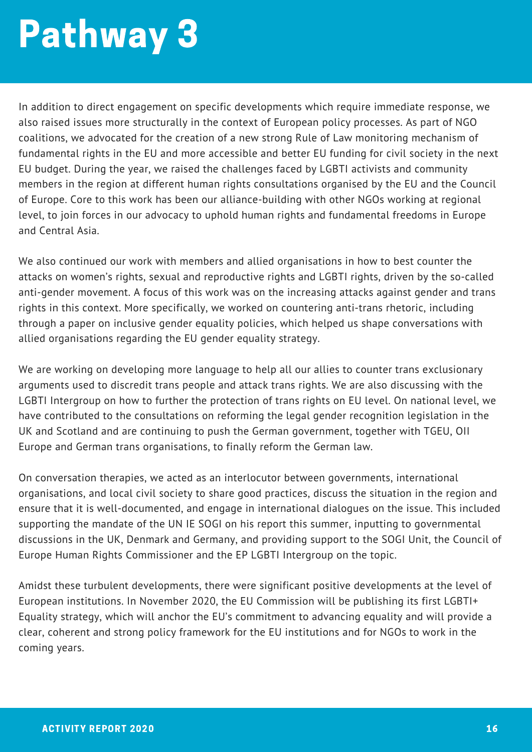In addition to direct engagement on specific developments which require immediate response, we also raised issues more structurally in the context of European policy processes. As part of NGO coalitions, we advocated for the creation of a new strong Rule of Law monitoring mechanism of fundamental rights in the EU and more accessible and better EU funding for civil society in the next EU budget. During the year, we raised the challenges faced by LGBTI activists and community members in the region at different human rights consultations organised by the EU and the Council of Europe. Core to this work has been our alliance-building with other NGOs working at regional level, to join forces in our advocacy to uphold human rights and fundamental freedoms in Europe and Central Asia.

We also continued our work with members and allied organisations in how to best counter the attacks on women's rights, sexual and reproductive rights and LGBTI rights, driven by the so-called anti-gender movement. A focus of this work was on the increasing attacks against gender and trans rights in this context. More specifically, we worked on countering anti-trans rhetoric, including through a paper on inclusive gender equality policies, which helped us shape conversations with allied organisations regarding the EU gender equality strategy.

We are working on developing more language to help all our allies to counter trans exclusionary arguments used to discredit trans people and attack trans rights. We are also discussing with the LGBTI Intergroup on how to further the protection of trans rights on EU level. On national level, we have contributed to the consultations on reforming the legal gender recognition legislation in the UK and Scotland and are continuing to push the German government, together with TGEU, OII Europe and German trans organisations, to finally reform the German law.

On conversation therapies, we acted as an interlocutor between governments, international organisations, and local civil society to share good practices, discuss the situation in the region and ensure that it is well-documented, and engage in international dialogues on the issue. This included supporting the mandate of the UN IE SOGI on his report this summer, inputting to governmental discussions in the UK, Denmark and Germany, and providing support to the SOGI Unit, the Council of Europe Human Rights Commissioner and the EP LGBTI Intergroup on the topic.

Amidst these turbulent developments, there were significant positive developments at the level of European institutions. In November 2020, the EU Commission will be publishing its first LGBTI+ Equality strategy, which will anchor the EU's commitment to advancing equality and will provide a clear, coherent and strong policy framework for the EU institutions and for NGOs to work in the coming years.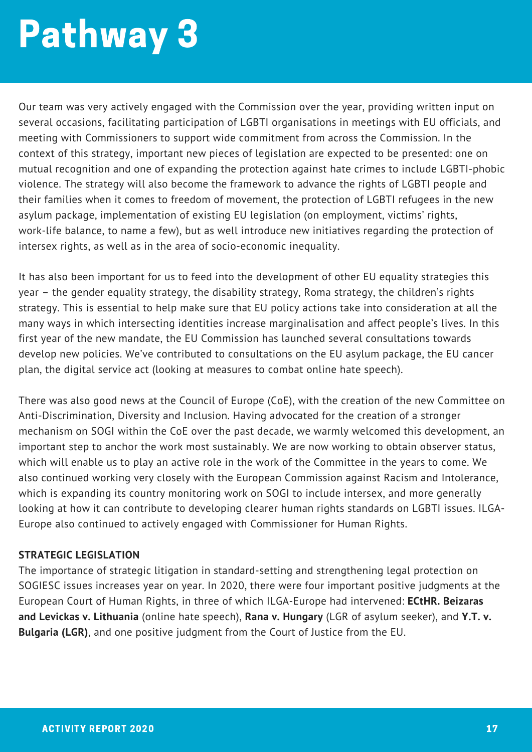Our team was very actively engaged with the Commission over the year, providing written input on several occasions, facilitating participation of LGBTI organisations in meetings with EU officials, and meeting with Commissioners to support wide commitment from across the Commission. In the context of this strategy, important new pieces of legislation are expected to be presented: one on mutual recognition and one of expanding the protection against hate crimes to include LGBTI-phobic violence. The strategy will also become the framework to advance the rights of LGBTI people and their families when it comes to freedom of movement, the protection of LGBTI refugees in the new asylum package, implementation of existing EU legislation (on employment, victims' rights, work-life balance, to name a few), but as well introduce new initiatives regarding the protection of intersex rights, as well as in the area of socio-economic inequality.

It has also been important for us to feed into the development of other EU equality strategies this year – the gender equality strategy, the disability strategy, Roma strategy, the children's rights strategy. This is essential to help make sure that EU policy actions take into consideration at all the many ways in which intersecting identities increase marginalisation and affect people's lives. In this first year of the new mandate, the EU Commission has launched several consultations towards develop new policies. We've contributed to consultations on the EU asylum package, the EU cancer plan, the digital service act (looking at measures to combat online hate speech).

There was also good news at the Council of Europe (CoE), with the creation of the new Committee on Anti-Discrimination, Diversity and Inclusion. Having advocated for the creation of a stronger mechanism on SOGI within the CoE over the past decade, we warmly welcomed this development, an important step to anchor the work most sustainably. We are now working to obtain observer status, which will enable us to play an active role in the work of the Committee in the years to come. We also continued working very closely with the European Commission against Racism and Intolerance, which is expanding its country monitoring work on SOGI to include intersex, and more generally looking at how it can contribute to developing clearer human rights standards on LGBTI issues. ILGA-Europe also continued to actively engaged with Commissioner for Human Rights.

#### **STRATEGIC LEGISLATION**

The importance of strategic litigation in standard-setting and strengthening legal protection on SOGIESC issues increases year on year. In 2020, there were four important positive judgments at the European Court of Human Rights, in three of which ILGA-Europe had intervened: **ECtHR. Beizaras and Levickas v. Lithuania** (online hate speech), **Rana v. Hungary** (LGR of asylum seeker), and **Y.T. v. Bulgaria (LGR)**, and one positive judgment from the Court of Justice from the EU.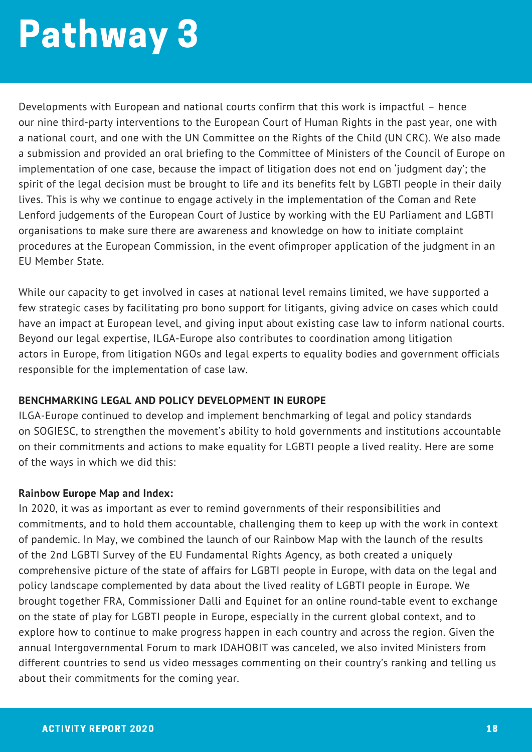Developments with European and national courts confirm that this work is impactful – hence our nine third-party interventions to the European Court of Human Rights in the past year, one with a national court, and one with the UN Committee on the Rights of the Child (UN CRC). We also made a submission and provided an oral briefing to the Committee of Ministers of the Council of Europe on implementation of one case, because the impact of litigation does not end on 'judgment day'; the spirit of the legal decision must be brought to life and its benefits felt by LGBTI people in their daily lives. This is why we continue to engage actively in the implementation of the Coman and Rete Lenford judgements of the European Court of Justice by working with the EU Parliament and LGBTI organisations to make sure there are awareness and knowledge on how to initiate complaint procedures at the European Commission, in the event ofimproper application of the judgment in an EU Member State.

While our capacity to get involved in cases at national level remains limited, we have supported a few strategic cases by facilitating pro bono support for litigants, giving advice on cases which could have an impact at European level, and giving input about existing case law to inform national courts. Beyond our legal expertise, ILGA-Europe also contributes to coordination among litigation actors in Europe, from litigation NGOs and legal experts to equality bodies and government officials responsible for the implementation of case law.

#### **BENCHMARKING LEGAL AND POLICY DEVELOPMENT IN EUROPE**

ILGA-Europe continued to develop and implement benchmarking of legal and policy standards on SOGIESC, to strengthen the movement's ability to hold governments and institutions accountable on their commitments and actions to make equality for LGBTI people a lived reality. Here are some of the ways in which we did this:

#### **Rainbow Europe Map and Index:**

In 2020, it was as important as ever to remind governments of their responsibilities and commitments, and to hold them accountable, challenging them to keep up with the work in context of pandemic. In May, we combined the launch of our Rainbow Map with the launch of the results of the 2nd LGBTI Survey of the EU Fundamental Rights Agency, as both created a uniquely comprehensive picture of the state of affairs for LGBTI people in Europe, with data on the legal and policy landscape complemented by data about the lived reality of LGBTI people in Europe. We brought together FRA, Commissioner Dalli and Equinet for an online round-table event to exchange on the state of play for LGBTI people in Europe, especially in the current global context, and to explore how to continue to make progress happen in each country and across the region. Given the annual Intergovernmental Forum to mark IDAHOBIT was canceled, we also invited Ministers from different countries to send us video messages commenting on their country's ranking and telling us about their commitments for the coming year.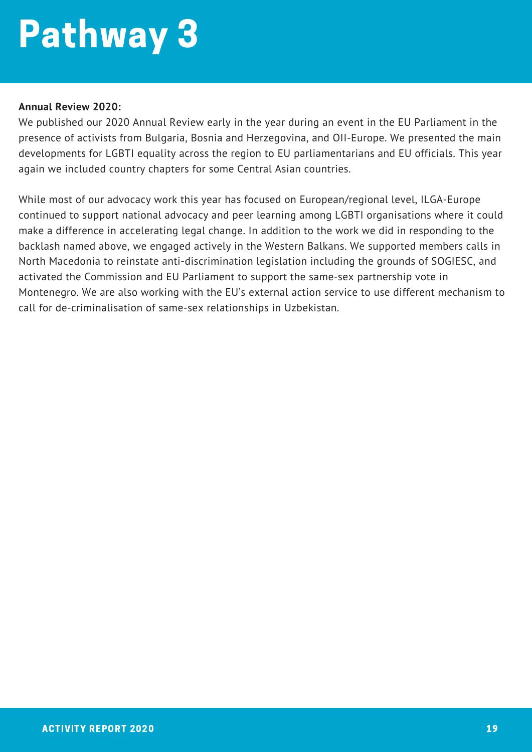#### **Annual Review 2020:**

We published our 2020 Annual Review early in the year during an event in the EU Parliament in the presence of activists from Bulgaria, Bosnia and Herzegovina, and OII-Europe. We presented the main developments for LGBTI equality across the region to EU parliamentarians and EU officials. This year again we included country chapters for some Central Asian countries.

While most of our advocacy work this year has focused on European/regional level, ILGA-Europe continued to support national advocacy and peer learning among LGBTI organisations where it could make a difference in accelerating legal change. In addition to the work we did in responding to the backlash named above, we engaged actively in the Western Balkans. We supported members calls in North Macedonia to reinstate anti-discrimination legislation including the grounds of SOGIESC, and activated the Commission and EU Parliament to support the same-sex partnership vote in Montenegro. We are also working with the EU's external action service to use different mechanism to call for de-criminalisation of same-sex relationships in Uzbekistan.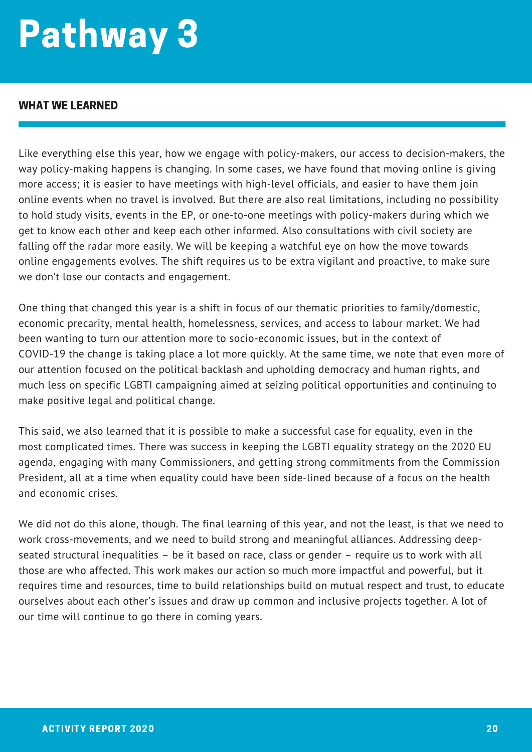#### WHAT WE LEARNED

Like everything else this year, how we engage with policy-makers, our access to decision-makers, the way policy-making happens is changing. In some cases, we have found that moving online is giving more access; it is easier to have meetings with high-level officials, and easier to have them join online events when no travel is involved. But there are also real limitations, including no possibility to hold study visits, events in the EP, or one-to-one meetings with policy-makers during which we get to know each other and keep each other informed. Also consultations with civil society are falling off the radar more easily. We will be keeping a watchful eye on how the move towards online engagements evolves. The shift requires us to be extra vigilant and proactive, to make sure we don't lose our contacts and engagement.

One thing that changed this year is a shift in focus of our thematic priorities to family/domestic, economic precarity, mental health, homelessness, services, and access to labour market. We had been wanting to turn our attention more to socio-economic issues, but in the context of COVID-19 the change is taking place a lot more quickly. At the same time, we note that even more of our attention focused on the political backlash and upholding democracy and human rights, and much less on specific LGBTI campaigning aimed at seizing political opportunities and continuing to make positive legal and political change.

This said, we also learned that it is possible to make a successful case for equality, even in the most complicated times. There was success in keeping the LGBTI equality strategy on the 2020 EU agenda, engaging with many Commissioners, and getting strong commitments from the Commission President, all at a time when equality could have been side-lined because of a focus on the health and economic crises.

We did not do this alone, though. The final learning of this year, and not the least, is that we need to work cross-movements, and we need to build strong and meaningful alliances. Addressing deepseated structural inequalities – be it based on race, class or gender – require us to work with all those are who affected. This work makes our action so much more impactful and powerful, but it requires time and resources, time to build relationships build on mutual respect and trust, to educate ourselves about each other's issues and draw up common and inclusive projects together. A lot of our time will continue to go there in coming years.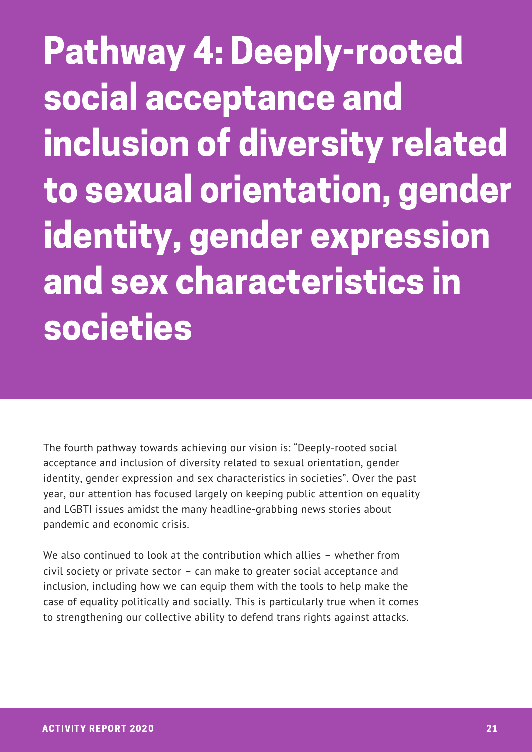Pathway 4: Deeply-rooted social acceptance and inclusion of diversity related to sexual orientation, gender identity, gender expression and sex characteristics in societies

The fourth pathway towards achieving our vision is: "Deeply-rooted social acceptance and inclusion of diversity related to sexual orientation, gender identity, gender expression and sex characteristics in societies". Over the past year, our attention has focused largely on keeping public attention on equality and LGBTI issues amidst the many headline-grabbing news stories about pandemic and economic crisis.

We also continued to look at the contribution which allies – whether from civil society or private sector – can make to greater social acceptance and inclusion, including how we can equip them with the tools to help make the case of equality politically and socially. This is particularly true when it comes to strengthening our collective ability to defend trans rights against attacks.

Strong, resourced, s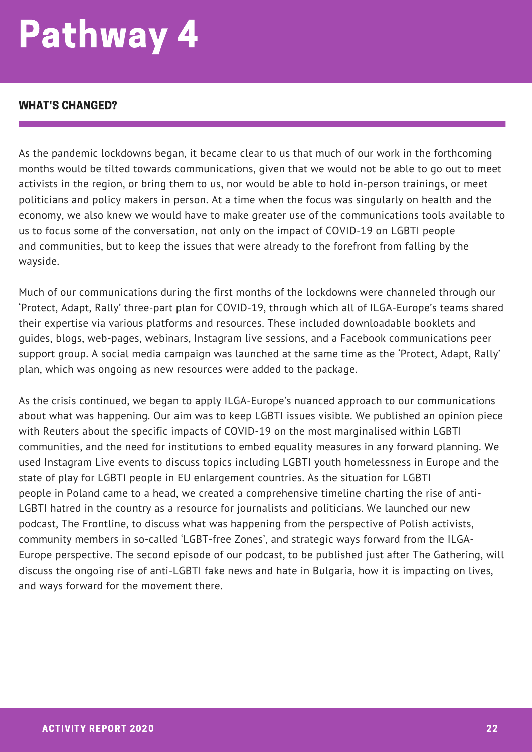#### WHAT'S CHANGED?

As the pandemic lockdowns began, it became clear to us that much of our work in the forthcoming months would be tilted towards communications, given that we would not be able to go out to meet activists in the region, or bring them to us, nor would be able to hold in-person trainings, or meet politicians and policy makers in person. At a time when the focus was singularly on health and the economy, we also knew we would have to make greater use of the communications tools available to us to focus some of the conversation, not only on the impact of COVID-19 on LGBTI people and communities, but to keep the issues that were already to the forefront from falling by the wayside.

Much of our communications during the first months of the lockdowns were channeled through our 'Protect, Adapt, Rally' three-part plan for COVID-19, through which all of ILGA-Europe's teams shared their expertise via various platforms and resources. These included downloadable booklets and guides, blogs, web-pages, webinars, Instagram live sessions, and a Facebook communications peer support group. A social media campaign was launched at the same time as the 'Protect, Adapt, Rally' plan, which was ongoing as new resources were added to the package.

As the crisis continued, we began to apply ILGA-Europe's nuanced approach to our communications about what was happening. Our aim was to keep LGBTI issues visible. We published an opinion piece with Reuters about the specific impacts of COVID-19 on the most marginalised within LGBTI communities, and the need for institutions to embed equality measures in any forward planning. We used Instagram Live events to discuss topics including LGBTI youth homelessness in Europe and the state of play for LGBTI people in EU enlargement countries. As the situation for LGBTI people in Poland came to a head, we created a comprehensive timeline charting the rise of anti-LGBTI hatred in the country as a resource for journalists and politicians. We launched our new podcast, The Frontline, to discuss what was happening from the perspective of Polish activists, community members in so-called 'LGBT-free Zones', and strategic ways forward from the ILGA-Europe perspective. The second episode of our podcast, to be published just after The Gathering, will discuss the ongoing rise of anti-LGBTI fake news and hate in Bulgaria, how it is impacting on lives, and ways forward for the movement there.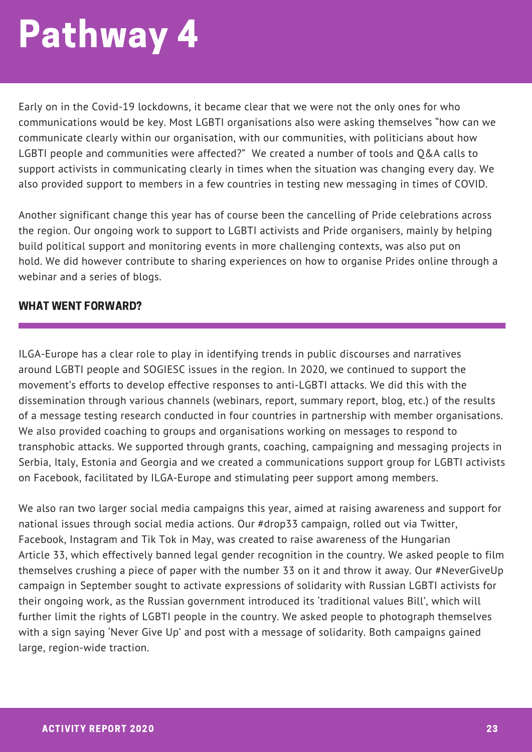Early on in the Covid-19 lockdowns, it became clear that we were not the only ones for who communications would be key. Most LGBTI organisations also were asking themselves "how can we communicate clearly within our organisation, with our communities, with politicians about how LGBTI people and communities were affected?" We created a number of tools and Q&A calls to support activists in communicating clearly in times when the situation was changing every day. We also provided support to members in a few countries in testing new messaging in times of COVID.

Another significant change this year has of course been the cancelling of Pride celebrations across the region. Our ongoing work to support to LGBTI activists and Pride organisers, mainly by helping build political support and monitoring events in more challenging contexts, was also put on hold. We did however contribute to sharing experiences on how to organise Prides online through a webinar and a series of blogs.

#### WHAT WENT FORWARD?

ILGA-Europe has a clear role to play in identifying trends in public discourses and narratives around LGBTI people and SOGIESC issues in the region. In 2020, we continued to support the movement's efforts to develop effective responses to anti-LGBTI attacks. We did this with the dissemination through various channels (webinars, report, summary report, blog, etc.) of the results of a message testing research conducted in four countries in partnership with member organisations. We also provided coaching to groups and organisations working on messages to respond to transphobic attacks. We supported through grants, coaching, campaigning and messaging projects in Serbia, Italy, Estonia and Georgia and we created a communications support group for LGBTI activists on Facebook, facilitated by ILGA-Europe and stimulating peer support among members.

We also ran two larger social media campaigns this year, aimed at raising awareness and support for national issues through social media actions. Our #drop33 campaign, rolled out via Twitter, Facebook, Instagram and Tik Tok in May, was created to raise awareness of the Hungarian Article 33, which effectively banned legal gender recognition in the country. We asked people to film themselves crushing a piece of paper with the number 33 on it and throw it away. Our #NeverGiveUp campaign in September sought to activate expressions of solidarity with Russian LGBTI activists for their ongoing work, as the Russian government introduced its 'traditional values Bill', which will further limit the rights of LGBTI people in the country. We asked people to photograph themselves with a sign saying 'Never Give Up' and post with a message of solidarity. Both campaigns gained large, region-wide traction.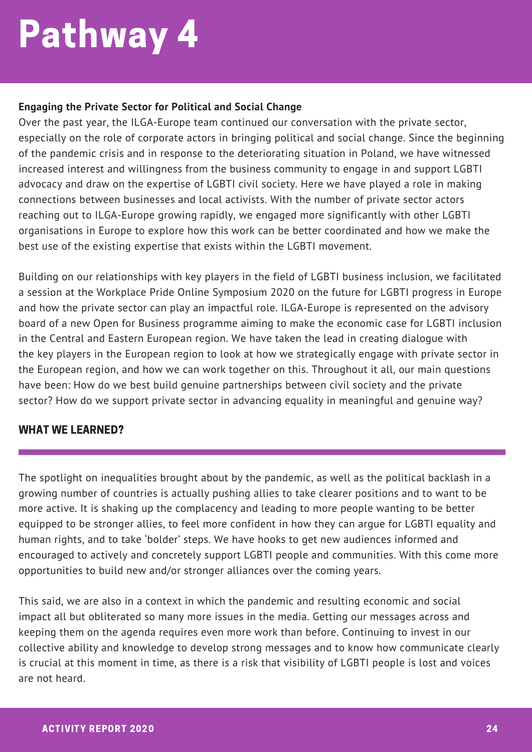#### **Engaging the Private Sector for Political and Social Change**

Over the past year, the ILGA-Europe team continued our conversation with the private sector, especially on the role of corporate actors in bringing political and social change. Since the beginning of the pandemic crisis and in response to the deteriorating situation in Poland, we have witnessed increased interest and willingness from the business community to engage in and support LGBTI advocacy and draw on the expertise of LGBTI civil society. Here we have played a role in making connections between businesses and local activists. With the number of private sector actors reaching out to ILGA-Europe growing rapidly, we engaged more significantly with other LGBTI organisations in Europe to explore how this work can be better coordinated and how we make the best use of the existing expertise that exists within the LGBTI movement.

Building on our relationships with key players in the field of LGBTI business inclusion, we facilitated a session at the Workplace Pride Online Symposium 2020 on the future for LGBTI progress in Europe and how the private sector can play an impactful role. ILGA-Europe is represented on the advisory board of a new Open for Business programme aiming to make the economic case for LGBTI inclusion in the Central and Eastern European region. We have taken the lead in creating dialogue with the key players in the European region to look at how we strategically engage with private sector in the European region, and how we can work together on this. Throughout it all, our main questions have been: How do we best build genuine partnerships between civil society and the private sector? How do we support private sector in advancing equality in meaningful and genuine way?

#### WHAT WE LEARNED?

The spotlight on inequalities brought about by the pandemic, as well as the political backlash in a growing number of countries is actually pushing allies to take clearer positions and to want to be more active. It is shaking up the complacency and leading to more people wanting to be better equipped to be stronger allies, to feel more confident in how they can argue for LGBTI equality and human rights, and to take 'bolder' steps. We have hooks to get new audiences informed and encouraged to actively and concretely support LGBTI people and communities. With this come more opportunities to build new and/or stronger alliances over the coming years.

This said, we are also in a context in which the pandemic and resulting economic and social impact all but obliterated so many more issues in the media. Getting our messages across and keeping them on the agenda requires even more work than before. Continuing to invest in our collective ability and knowledge to develop strong messages and to know how communicate clearly is crucial at this moment in time, as there is a risk that visibility of LGBTI people is lost and voices are not heard.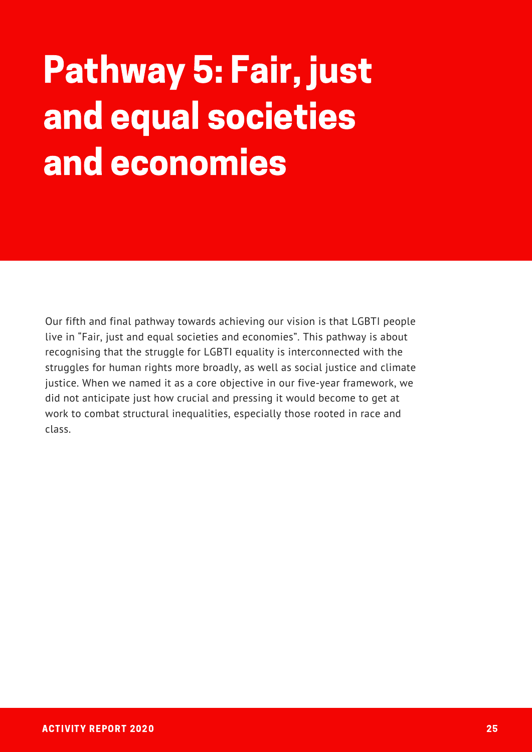### Pathway 5: Fair, just and equal societies and economies

Our fifth and final pathway towards achieving our vision is that LGBTI people live in "Fair, just and equal societies and economies". This pathway is about recognising that the struggle for LGBTI equality is interconnected with the struggles for human rights more broadly, as well as social justice and climate justice. When we named it as a core objective in our five-year framework, we did not anticipate just how crucial and pressing it would become to get at work to combat structural inequalities, especially those rooted in race and class.

Strong, resourced, s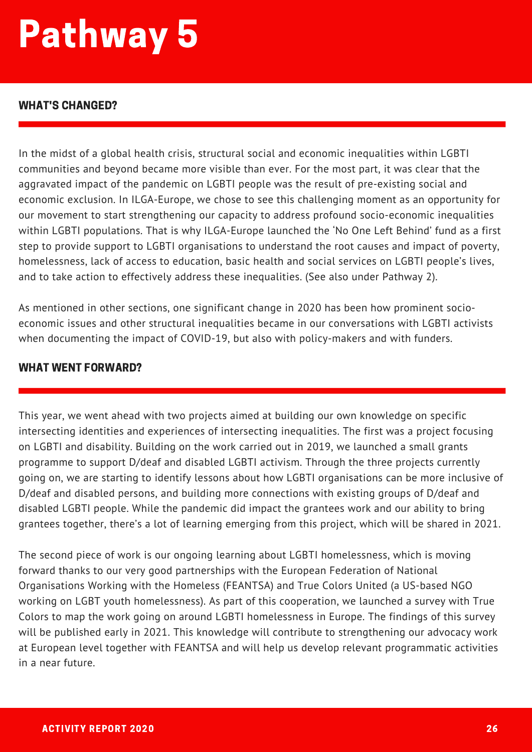#### WHAT'S CHANGED?

In the midst of a global health crisis, structural social and economic inequalities within LGBTI communities and beyond became more visible than ever. For the most part, it was clear that the aggravated impact of the pandemic on LGBTI people was the result of pre-existing social and economic exclusion. In ILGA-Europe, we chose to see this challenging moment as an opportunity for our movement to start strengthening our capacity to address profound socio-economic inequalities within LGBTI populations. That is why ILGA-Europe launched the 'No One Left Behind' fund as a first step to provide support to LGBTI organisations to understand the root causes and impact of poverty, homelessness, lack of access to education, basic health and social services on LGBTI people's lives, and to take action to effectively address these inequalities. (See also under Pathway 2).

As mentioned in other sections, one significant change in 2020 has been how prominent socioeconomic issues and other structural inequalities became in our conversations with LGBTI activists when documenting the impact of COVID-19, but also with policy-makers and with funders.

#### WHAT WENT FORWARD?

This year, we went ahead with two projects aimed at building our own knowledge on specific intersecting identities and experiences of intersecting inequalities. The first was a project focusing on LGBTI and disability. Building on the work carried out in 2019, we launched a small grants programme to support D/deaf and disabled LGBTI activism. Through the three projects currently going on, we are starting to identify lessons about how LGBTI organisations can be more inclusive of D/deaf and disabled persons, and building more connections with existing groups of D/deaf and disabled LGBTI people. While the pandemic did impact the grantees work and our ability to bring grantees together, there's a lot of learning emerging from this project, which will be shared in 2021.

The second piece of work is our ongoing learning about LGBTI homelessness, which is moving forward thanks to our very good partnerships with the European Federation of National Organisations Working with the Homeless (FEANTSA) and True Colors United (a US-based NGO working on LGBT youth homelessness). As part of this cooperation, we launched a survey with True Colors to map the work going on around LGBTI homelessness in Europe. The findings of this survey will be published early in 2021. This knowledge will contribute to strengthening our advocacy work at European level together with FEANTSA and will help us develop relevant programmatic activities in a near future.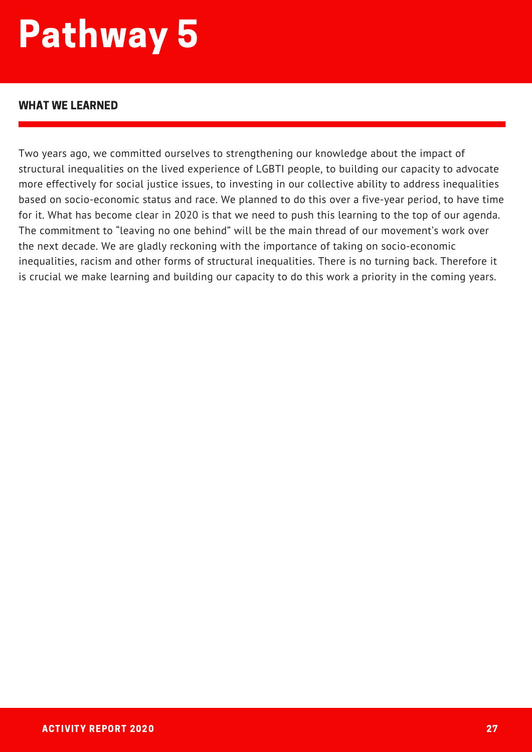#### WHAT WE LEARNED

Two years ago, we committed ourselves to strengthening our knowledge about the impact of structural inequalities on the lived experience of LGBTI people, to building our capacity to advocate more effectively for social justice issues, to investing in our collective ability to address inequalities based on socio-economic status and race. We planned to do this over a five-year period, to have time for it. What has become clear in 2020 is that we need to push this learning to the top of our agenda. The commitment to "leaving no one behind" will be the main thread of our movement's work over the next decade. We are gladly reckoning with the importance of taking on socio-economic inequalities, racism and other forms of structural inequalities. There is no turning back. Therefore it is crucial we make learning and building our capacity to do this work a priority in the coming years.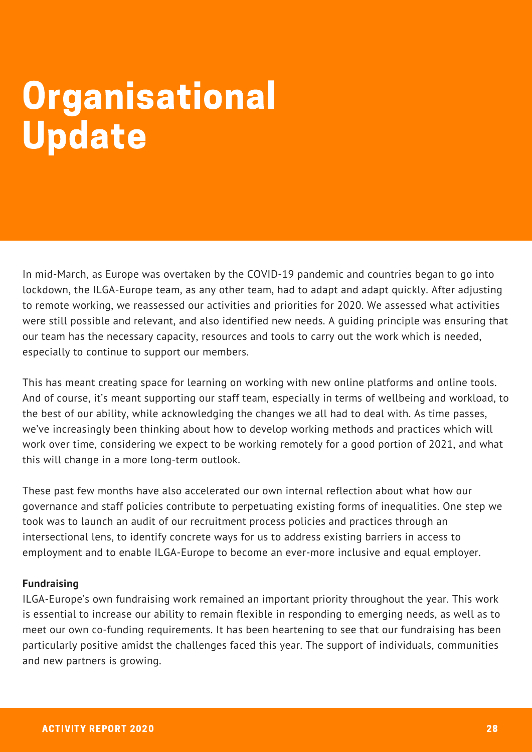### **Organisational** Update

In mid-March, as Europe was overtaken by the COVID-19 pandemic and countries began to go into lockdown, the ILGA-Europe team, as any other team, had to adapt and adapt quickly. After adjusting to remote working, we reassessed our activities and priorities for 2020. We assessed what activities were still possible and relevant, and also identified new needs. A guiding principle was ensuring that our team has the necessary capacity, resources and tools to carry out the work which is needed, especially to continue to support our members.

This has meant creating space for learning on working with new online platforms and online tools. And of course, it's meant supporting our staff team, especially in terms of wellbeing and workload, to the best of our ability, while acknowledging the changes we all had to deal with. As time passes, we've increasingly been thinking about how to develop working methods and practices which will work over time, considering we expect to be working remotely for a good portion of 2021, and what this will change in a more long-term outlook.

These past few months have also accelerated our own internal reflection about what how our governance and staff policies contribute to perpetuating existing forms of inequalities. One step we took was to launch an audit of our recruitment process policies and practices through an intersectional lens, to identify concrete ways for us to address existing barriers in access to employment and to enable ILGA-Europe to become an ever-more inclusive and equal employer.

#### **Fundraising**

ILGA-Europe's own fundraising work remained an important priority throughout the year. This work is essential to increase our ability to remain flexible in responding to emerging needs, as well as to meet our own co-funding requirements. It has been heartening to see that our fundraising has been particularly positive amidst the challenges faced this year. The support of individuals, communities and new partners is growing.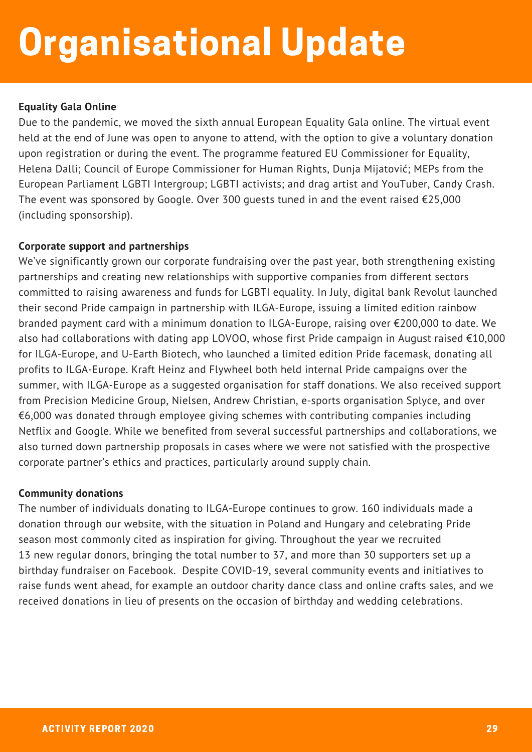### Organisational Update

#### **Equality Gala Online**

Due to the pandemic, we moved the sixth annual European Equality Gala online. The virtual event held at the end of June was open to anyone to attend, with the option to give a voluntary donation upon registration or during the event. The programme featured EU Commissioner for Equality, Helena Dalli; Council of Europe Commissioner for Human Rights, Dunja Mijatović; MEPs from the European Parliament LGBTI Intergroup; LGBTI activists; and drag artist and YouTuber, Candy Crash. The event was sponsored by Google. Over 300 guests tuned in and the event raised €25,000 (including sponsorship).

#### **Corporate support and partnerships**

We've significantly grown our corporate fundraising over the past year, both strengthening existing partnerships and creating new relationships with supportive companies from different sectors committed to raising awareness and funds for LGBTI equality. In July, digital bank Revolut launched their second Pride campaign in partnership with ILGA-Europe, issuing a limited edition rainbow branded payment card with a minimum donation to ILGA-Europe, raising over €200,000 to date. We also had collaborations with dating app LOVOO, whose first Pride campaign in August raised €10,000 for ILGA-Europe, and U-Earth Biotech, who launched a limited edition Pride facemask, donating all profits to ILGA-Europe. Kraft Heinz and Flywheel both held internal Pride campaigns over the summer, with ILGA-Europe as a suggested organisation for staff donations. We also received support from Precision Medicine Group, Nielsen, Andrew Christian, e-sports organisation Splyce, and over  $€6,000$  was donated through employee giving schemes with contributing companies including Netflix and Google. While we benefited from several successful partnerships and collaborations, we also turned down partnership proposals in cases where we were not satisfied with the prospective corporate partner's ethics and practices, particularly around supply chain.

#### **Community donations**

The number of individuals donating to ILGA-Europe continues to grow. 160 individuals made a donation through our website, with the situation in Poland and Hungary and celebrating Pride season most commonly cited as inspiration for giving. Throughout the year we recruited 13 new regular donors, bringing the total number to 37, and more than 30 supporters set up a birthday fundraiser on Facebook. Despite COVID-19, several community events and initiatives to raise funds went ahead, for example an outdoor charity dance class and online crafts sales, and we received donations in lieu of presents on the occasion of birthday and wedding celebrations.